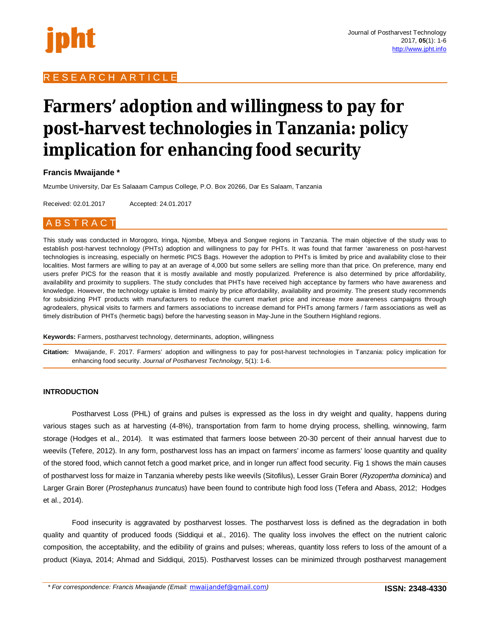# R E S E A R C H A R T I C L E

# **Farmers' adoption and willingness to pay for post-harvest technologies in Tanzania: policy implication for enhancing food security**

# **Francis Mwaijande \***

Mzumbe University, Dar Es Salaaam Campus College, P.O. Box 20266, Dar Es Salaam, Tanzania

Received: 02.01.2017 Accepted: 24.01.2017

# A B S T R A C T

This study was conducted in Morogoro, Iringa, Njombe, Mbeya and Songwe regions in Tanzania. The main objective of the study was to establish post-harvest technology (PHTs) adoption and willingness to pay for PHTs. It was found that farmer 'awareness on post-harvest technologies is increasing, especially on hermetic PICS Bags. However the adoption to PHTs is limited by price and availability close to their localities. Most farmers are willing to pay at an average of 4,000 but some sellers are selling more than that price. On preference, many end users prefer PICS for the reason that it is mostly available and mostly popularized. Preference is also determined by price affordability, availability and proximity to suppliers. The study concludes that PHTs have received high acceptance by farmers who have awareness and knowledge. However, the technology uptake is limited mainly by price affordability, availability and proximity. The present study recommends for subsidizing PHT products with manufacturers to reduce the current market price and increase more awareness campaigns through agrodealers, physical visits to farmers and farmers associations to increase demand for PHTs among farmers / farm associations as well as timely distribution of PHTs (hermetic bags) before the harvesting season in May-June in the Southern Highland regions.

**Keywords:** Farmers, postharvest technology, determinants, adoption, willingness

**Citation:** Mwaijande, F. 2017. Farmers' adoption and willingness to pay for post-harvest technologies in Tanzania: policy implication for enhancing food security. *Journal of Postharvest Technology*, 5(1): 1-6.

# **INTRODUCTION**

Postharvest Loss (PHL) of grains and pulses is expressed as the loss in dry weight and quality, happens during various stages such as at harvesting (4-8%), transportation from farm to home drying process, shelling, winnowing, farm storage (Hodges et al., 2014). It was estimated that farmers loose between 20-30 percent of their annual harvest due to weevils (Tefere, 2012). In any form, postharvest loss has an impact on farmers' income as farmers' loose quantity and quality of the stored food, which cannot fetch a good market price, and in longer run affect food security. Fig 1 shows the main causes of postharvest loss for maize in Tanzania whereby pests like weevils (Sitofilus), Lesser Grain Borer (*Ryzopertha dominica*) and Larger Grain Borer (*Prostephanus truncatus*) have been found to contribute high food loss (Tefera and Abass, 2012; Hodges et al., 2014).

Food insecurity is aggravated by postharvest losses. The postharvest loss is defined as the degradation in both quality and quantity of produced foods (Siddiqui et al., 2016). The quality loss involves the effect on the nutrient caloric composition, the acceptability, and the edibility of grains and pulses; whereas, quantity loss refers to loss of the amount of a product (Kiaya, 2014; Ahmad and Siddiqui, 2015). Postharvest losses can be minimized through postharvest management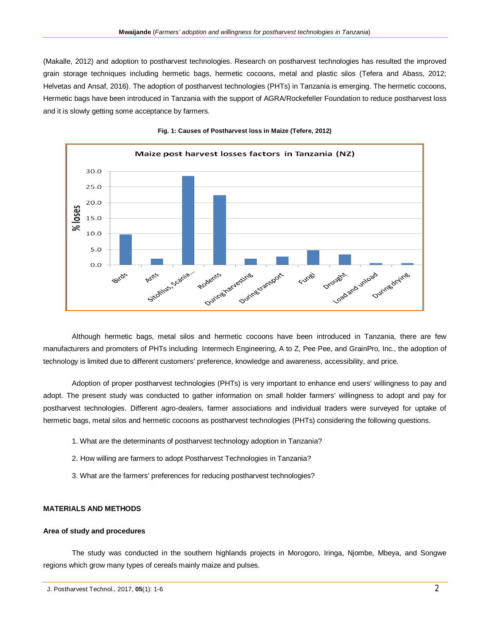(Makalle, 2012) and adoption to postharvest technologies. Research on postharvest technologies has resulted the improved grain storage techniques including hermetic bags, hermetic cocoons, metal and plastic silos (Tefera and Abass, 2012; Helvetas and Ansaf, 2016). The adoption of postharvest technologies (PHTs) in Tanzania is emerging. The hermetic cocoons, Hermetic bags have been introduced in Tanzania with the support of AGRA/Rockefeller Foundation to reduce postharvest loss and it is slowly getting some acceptance by farmers.



**Fig. 1: Causes of Postharvest loss in Maize (Tefere, 2012)**

Although hermetic bags, metal silos and hermetic cocoons have been introduced in Tanzania, there are few manufacturers and promoters of PHTs including Intermech Engineering, A to Z, Pee Pee, and GrainPro, Inc., the adoption of technology is limited due to different customers' preference, knowledge and awareness, accessibility, and price.

Adoption of proper postharvest technologies (PHTs) is very important to enhance end users' willingness to pay and adopt. The present study was conducted to gather information on small holder farmers' willingness to adopt and pay for postharvest technologies. Different agro-dealers, farmer associations and individual traders were surveyed for uptake of hermetic bags, metal silos and hermetic cocoons as postharvest technologies (PHTs) considering the following questions.

- 1. What are the determinants of postharvest technology adoption in Tanzania?
- 2. How willing are farmers to adopt Postharvest Technologies in Tanzania?
- 3. What are the farmers' preferences for reducing postharvest technologies?

#### **MATERIALS AND METHODS**

## **Area of study and procedures**

The study was conducted in the southern highlands projects in Morogoro, Iringa, Njombe, Mbeya, and Songwe regions which grow many types of cereals mainly maize and pulses.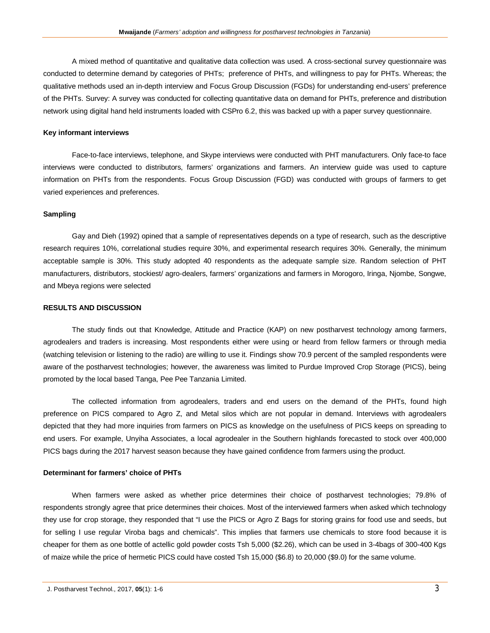A mixed method of quantitative and qualitative data collection was used. A cross-sectional survey questionnaire was conducted to determine demand by categories of PHTs; preference of PHTs, and willingness to pay for PHTs. Whereas; the qualitative methods used an in-depth interview and Focus Group Discussion (FGDs) for understanding end-users' preference of the PHTs. Survey: A survey was conducted for collecting quantitative data on demand for PHTs, preference and distribution network using digital hand held instruments loaded with CSPro 6.2, this was backed up with a paper survey questionnaire.

#### **Key informant interviews**

Face-to-face interviews, telephone, and Skype interviews were conducted with PHT manufacturers. Only face-to face interviews were conducted to distributors, farmers' organizations and farmers. An interview guide was used to capture information on PHTs from the respondents. Focus Group Discussion (FGD) was conducted with groups of farmers to get varied experiences and preferences.

## **Sampling**

Gay and Dieh (1992) opined that a sample of representatives depends on a type of research, such as the descriptive research requires 10%, correlational studies require 30%, and experimental research requires 30%. Generally, the minimum acceptable sample is 30%. This study adopted 40 respondents as the adequate sample size. Random selection of PHT manufacturers, distributors, stockiest/ agro-dealers, farmers' organizations and farmers in Morogoro, Iringa, Njombe, Songwe, and Mbeya regions were selected

#### **RESULTS AND DISCUSSION**

The study finds out that Knowledge, Attitude and Practice (KAP) on new postharvest technology among farmers, agrodealers and traders is increasing. Most respondents either were using or heard from fellow farmers or through media (watching television or listening to the radio) are willing to use it. Findings show 70.9 percent of the sampled respondents were aware of the postharvest technologies; however, the awareness was limited to Purdue Improved Crop Storage (PICS), being promoted by the local based Tanga, Pee Pee Tanzania Limited.

The collected information from agrodealers, traders and end users on the demand of the PHTs, found high preference on PICS compared to Agro Z, and Metal silos which are not popular in demand. Interviews with agrodealers depicted that they had more inquiries from farmers on PICS as knowledge on the usefulness of PICS keeps on spreading to end users. For example, Unyiha Associates, a local agrodealer in the Southern highlands forecasted to stock over 400,000 PICS bags during the 2017 harvest season because they have gained confidence from farmers using the product.

#### **Determinant for farmers' choice of PHTs**

When farmers were asked as whether price determines their choice of postharvest technologies; 79.8% of respondents strongly agree that price determines their choices. Most of the interviewed farmers when asked which technology they use for crop storage, they responded that "I use the PICS or Agro Z Bags for storing grains for food use and seeds, but for selling I use regular Viroba bags and chemicals". This implies that farmers use chemicals to store food because it is cheaper for them as one bottle of actellic gold powder costs Tsh 5,000 (\$2.26), which can be used in 3-4bags of 300-400 Kgs of maize while the price of hermetic PICS could have costed Tsh 15,000 (\$6.8) to 20,000 (\$9.0) for the same volume.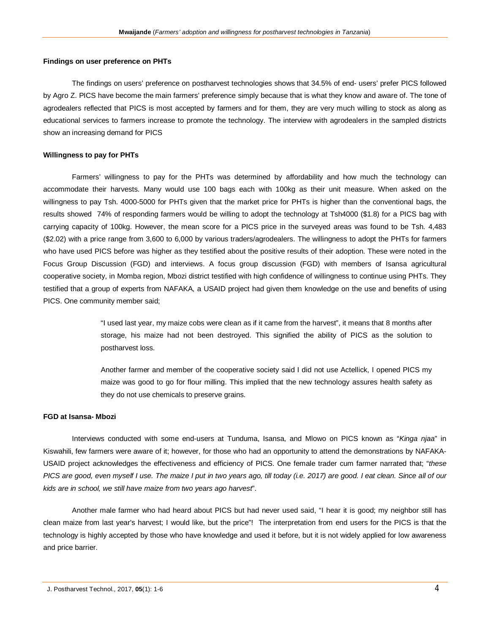#### **Findings on user preference on PHTs**

The findings on users' preference on postharvest technologies shows that 34.5% of end- users' prefer PICS followed by Agro Z. PICS have become the main farmers' preference simply because that is what they know and aware of. The tone of agrodealers reflected that PICS is most accepted by farmers and for them, they are very much willing to stock as along as educational services to farmers increase to promote the technology. The interview with agrodealers in the sampled districts show an increasing demand for PICS

#### **Willingness to pay for PHTs**

Farmers' willingness to pay for the PHTs was determined by affordability and how much the technology can accommodate their harvests. Many would use 100 bags each with 100kg as their unit measure. When asked on the willingness to pay Tsh. 4000-5000 for PHTs given that the market price for PHTs is higher than the conventional bags, the results showed 74% of responding farmers would be willing to adopt the technology at Tsh4000 (\$1.8) for a PICS bag with carrying capacity of 100kg. However, the mean score for a PICS price in the surveyed areas was found to be Tsh. 4,483 (\$2.02) with a price range from 3,600 to 6,000 by various traders/agrodealers. The willingness to adopt the PHTs for farmers who have used PICS before was higher as they testified about the positive results of their adoption. These were noted in the Focus Group Discussion (FGD) and interviews. A focus group discussion (FGD) with members of Isansa agricultural cooperative society, in Momba region, Mbozi district testified with high confidence of willingness to continue using PHTs. They testified that a group of experts from NAFAKA, a USAID project had given them knowledge on the use and benefits of using PICS. One community member said;

> "I used last year, my maize cobs were clean as if it came from the harvest", it means that 8 months after storage, his maize had not been destroyed. This signified the ability of PICS as the solution to postharvest loss.

> Another farmer and member of the cooperative society said I did not use Actellick, I opened PICS my maize was good to go for flour milling. This implied that the new technology assures health safety as they do not use chemicals to preserve grains.

#### **FGD at Isansa- Mbozi**

Interviews conducted with some end-users at Tunduma, Isansa, and Mlowo on PICS known as "*Kinga njaa*" in Kiswahili, few farmers were aware of it; however, for those who had an opportunity to attend the demonstrations by NAFAKA-USAID project acknowledges the effectiveness and efficiency of PICS. One female trader cum farmer narrated that; "*these PICS are good, even myself I use. The maize I put in two years ago, till today (i.e. 2017) are good. I eat clean. Since all of our kids are in school, we still have maize from two years ago harvest*".

Another male farmer who had heard about PICS but had never used said, "I hear it is good; my neighbor still has clean maize from last year's harvest; I would like, but the price"! The interpretation from end users for the PICS is that the technology is highly accepted by those who have knowledge and used it before, but it is not widely applied for low awareness and price barrier.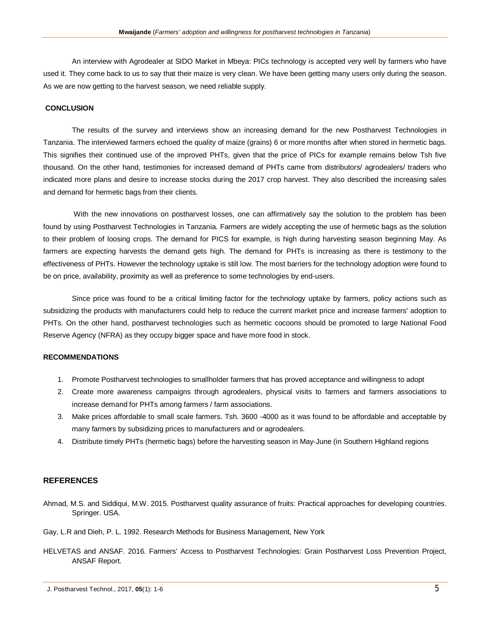An interview with Agrodealer at SIDO Market in Mbeya: PICs technology is accepted very well by farmers who have used it. They come back to us to say that their maize is very clean. We have been getting many users only during the season. As we are now getting to the harvest season, we need reliable supply.

## **CONCLUSION**

The results of the survey and interviews show an increasing demand for the new Postharvest Technologies in Tanzania. The interviewed farmers echoed the quality of maize (grains) 6 or more months after when stored in hermetic bags. This signifies their continued use of the improved PHTs, given that the price of PICs for example remains below Tsh five thousand. On the other hand, testimonies for increased demand of PHTs came from distributors/ agrodealers/ traders who indicated more plans and desire to increase stocks during the 2017 crop harvest. They also described the increasing sales and demand for hermetic bags from their clients.

With the new innovations on postharvest losses, one can affirmatively say the solution to the problem has been found by using Postharvest Technologies in Tanzania. Farmers are widely accepting the use of hermetic bags as the solution to their problem of loosing crops. The demand for PICS for example, is high during harvesting season beginning May. As farmers are expecting harvests the demand gets high. The demand for PHTs is increasing as there is testimony to the effectiveness of PHTs. However the technology uptake is still low. The most barriers for the technology adoption were found to be on price, availability, proximity as well as preference to some technologies by end-users.

Since price was found to be a critical limiting factor for the technology uptake by farmers, policy actions such as subsidizing the products with manufacturers could help to reduce the current market price and increase farmers' adoption to PHTs. On the other hand, postharvest technologies such as hermetic cocoons should be promoted to large National Food Reserve Agency (NFRA) as they occupy bigger space and have more food in stock.

# **RECOMMENDATIONS**

- 1. Promote Postharvest technologies to smallholder farmers that has proved acceptance and willingness to adopt
- 2. Create more awareness campaigns through agrodealers, physical visits to farmers and farmers associations to increase demand for PHTs among farmers / farm associations.
- 3. Make prices affordable to small scale farmers. Tsh. 3600 -4000 as it was found to be affordable and acceptable by many farmers by subsidizing prices to manufacturers and or agrodealers.
- 4. Distribute timely PHTs (hermetic bags) before the harvesting season in May-June (in Southern Highland regions

# **REFERENCES**

- Ahmad, M.S. and Siddiqui, M.W. 2015. Postharvest quality assurance of fruits: Practical approaches for developing countries. Springer. USA.
- Gay, L.R and Dieh, P. L. 1992. Research Methods for Business Management, New York
- HELVETAS and ANSAF. 2016. Farmers' Access to Postharvest Technologies: Grain Postharvest Loss Prevention Project, ANSAF Report.

J. Postharvest Technol., 2017, **05**(1): 1-6 5